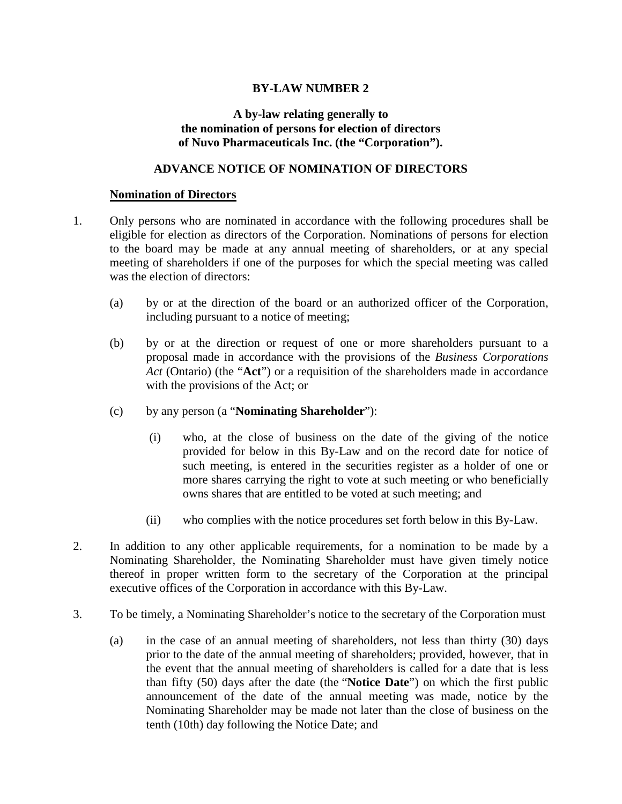## **BY-LAW NUMBER 2**

## **A by-law relating generally to the nomination of persons for election of directors of Nuvo Pharmaceuticals Inc. (the "Corporation").**

## **ADVANCE NOTICE OF NOMINATION OF DIRECTORS**

## **Nomination of Directors**

- 1. Only persons who are nominated in accordance with the following procedures shall be eligible for election as directors of the Corporation. Nominations of persons for election to the board may be made at any annual meeting of shareholders, or at any special meeting of shareholders if one of the purposes for which the special meeting was called was the election of directors:
	- (a) by or at the direction of the board or an authorized officer of the Corporation, including pursuant to a notice of meeting;
	- (b) by or at the direction or request of one or more shareholders pursuant to a proposal made in accordance with the provisions of the *Business Corporations Act* (Ontario) (the "**Act**") or a requisition of the shareholders made in accordance with the provisions of the Act; or
	- (c) by any person (a "**Nominating Shareholder**"):
		- (i) who, at the close of business on the date of the giving of the notice provided for below in this By-Law and on the record date for notice of such meeting, is entered in the securities register as a holder of one or more shares carrying the right to vote at such meeting or who beneficially owns shares that are entitled to be voted at such meeting; and
		- (ii) who complies with the notice procedures set forth below in this By-Law.
- 2. In addition to any other applicable requirements, for a nomination to be made by a Nominating Shareholder, the Nominating Shareholder must have given timely notice thereof in proper written form to the secretary of the Corporation at the principal executive offices of the Corporation in accordance with this By-Law.
- 3. To be timely, a Nominating Shareholder's notice to the secretary of the Corporation must
	- (a) in the case of an annual meeting of shareholders, not less than thirty (30) days prior to the date of the annual meeting of shareholders; provided, however, that in the event that the annual meeting of shareholders is called for a date that is less than fifty (50) days after the date (the "**Notice Date**") on which the first public announcement of the date of the annual meeting was made, notice by the Nominating Shareholder may be made not later than the close of business on the tenth (10th) day following the Notice Date; and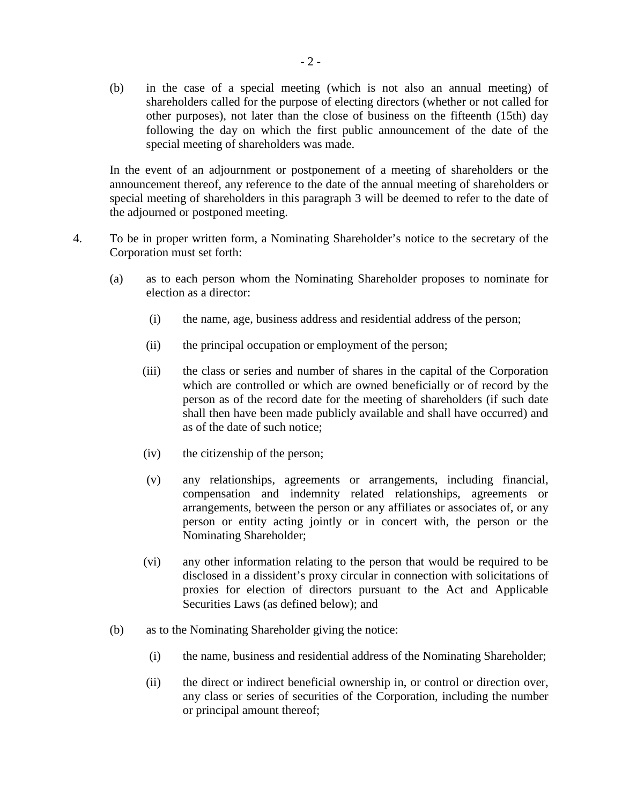(b) in the case of a special meeting (which is not also an annual meeting) of shareholders called for the purpose of electing directors (whether or not called for other purposes), not later than the close of business on the fifteenth (15th) day following the day on which the first public announcement of the date of the special meeting of shareholders was made.

In the event of an adjournment or postponement of a meeting of shareholders or the announcement thereof, any reference to the date of the annual meeting of shareholders or special meeting of shareholders in this paragraph 3 will be deemed to refer to the date of the adjourned or postponed meeting.

- 4. To be in proper written form, a Nominating Shareholder's notice to the secretary of the Corporation must set forth:
	- (a) as to each person whom the Nominating Shareholder proposes to nominate for election as a director:
		- (i) the name, age, business address and residential address of the person;
		- (ii) the principal occupation or employment of the person;
		- (iii) the class or series and number of shares in the capital of the Corporation which are controlled or which are owned beneficially or of record by the person as of the record date for the meeting of shareholders (if such date shall then have been made publicly available and shall have occurred) and as of the date of such notice;
		- (iv) the citizenship of the person;
		- (v) any relationships, agreements or arrangements, including financial, compensation and indemnity related relationships, agreements or arrangements, between the person or any affiliates or associates of, or any person or entity acting jointly or in concert with, the person or the Nominating Shareholder;
		- (vi) any other information relating to the person that would be required to be disclosed in a dissident's proxy circular in connection with solicitations of proxies for election of directors pursuant to the Act and Applicable Securities Laws (as defined below); and
	- (b) as to the Nominating Shareholder giving the notice:
		- (i) the name, business and residential address of the Nominating Shareholder;
		- (ii) the direct or indirect beneficial ownership in, or control or direction over, any class or series of securities of the Corporation, including the number or principal amount thereof;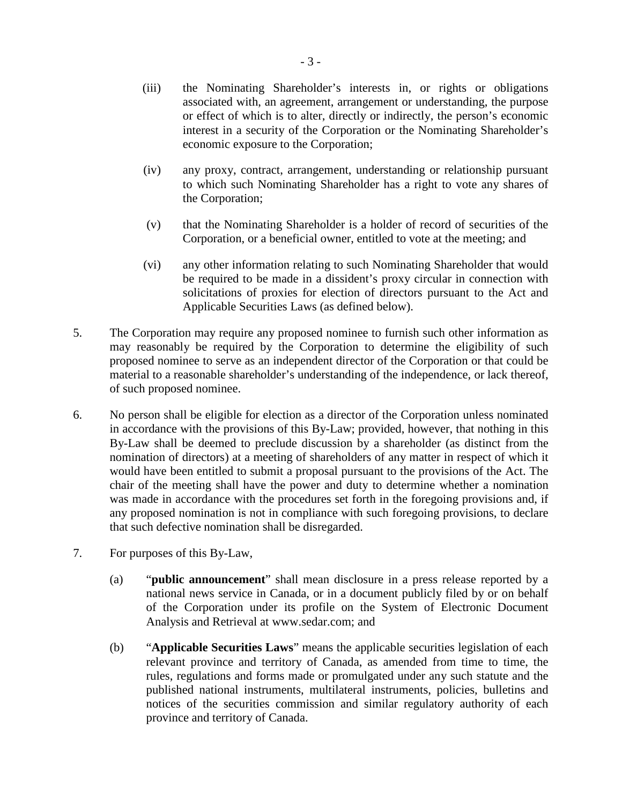- (iii) the Nominating Shareholder's interests in, or rights or obligations associated with, an agreement, arrangement or understanding, the purpose or effect of which is to alter, directly or indirectly, the person's economic interest in a security of the Corporation or the Nominating Shareholder's economic exposure to the Corporation;
- (iv) any proxy, contract, arrangement, understanding or relationship pursuant to which such Nominating Shareholder has a right to vote any shares of the Corporation;
- (v) that the Nominating Shareholder is a holder of record of securities of the Corporation, or a beneficial owner, entitled to vote at the meeting; and
- (vi) any other information relating to such Nominating Shareholder that would be required to be made in a dissident's proxy circular in connection with solicitations of proxies for election of directors pursuant to the Act and Applicable Securities Laws (as defined below).
- 5. The Corporation may require any proposed nominee to furnish such other information as may reasonably be required by the Corporation to determine the eligibility of such proposed nominee to serve as an independent director of the Corporation or that could be material to a reasonable shareholder's understanding of the independence, or lack thereof, of such proposed nominee.
- 6. No person shall be eligible for election as a director of the Corporation unless nominated in accordance with the provisions of this By-Law; provided, however, that nothing in this By-Law shall be deemed to preclude discussion by a shareholder (as distinct from the nomination of directors) at a meeting of shareholders of any matter in respect of which it would have been entitled to submit a proposal pursuant to the provisions of the Act. The chair of the meeting shall have the power and duty to determine whether a nomination was made in accordance with the procedures set forth in the foregoing provisions and, if any proposed nomination is not in compliance with such foregoing provisions, to declare that such defective nomination shall be disregarded.
- 7. For purposes of this By-Law,
	- (a) "**public announcement**" shall mean disclosure in a press release reported by a national news service in Canada, or in a document publicly filed by or on behalf of the Corporation under its profile on the System of Electronic Document Analysis and Retrieval at www.sedar.com; and
	- (b) "**Applicable Securities Laws**" means the applicable securities legislation of each relevant province and territory of Canada, as amended from time to time, the rules, regulations and forms made or promulgated under any such statute and the published national instruments, multilateral instruments, policies, bulletins and notices of the securities commission and similar regulatory authority of each province and territory of Canada.